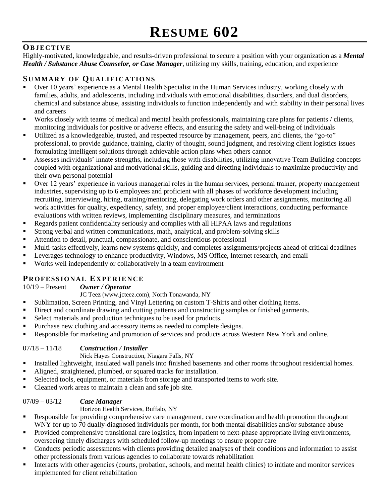# **OB J E C T I V E**

Highly-motivated, knowledgeable, and results-driven professional to secure a position with your organization as a *Mental Health / Substance Abuse Counselor, or Case Manager*, utilizing my skills, training, education, and experience

## **SU M M A R Y O F QU A L I F I C A T I O N S**

- Over 10 years' experience as a Mental Health Specialist in the Human Services industry, working closely with families, adults, and adolescents, including individuals with emotional disabilities, disorders, and dual disorders, chemical and substance abuse, assisting individuals to function independently and with stability in their personal lives and careers
- Works closely with teams of medical and mental health professionals, maintaining care plans for patients / clients, monitoring individuals for positive or adverse effects, and ensuring the safety and well-being of individuals
- Utilized as a knowledgeable, trusted, and respected resource by management, peers, and clients, the "go-to" professional, to provide guidance, training, clarity of thought, sound judgment, and resolving client logistics issues formulating intelligent solutions through achievable action plans when others cannot
- Assesses individuals' innate strengths, including those with disabilities, utilizing innovative Team Building concepts coupled with organizational and motivational skills, guiding and directing individuals to maximize productivity and their own personal potential
- Over 12 years' experience in various managerial roles in the human services, personal trainer, property management industries, supervising up to 6 employees and proficient with all phases of workforce development including recruiting, interviewing, hiring, training/mentoring, delegating work orders and other assignments, monitoring all work activities for quality, expediency, safety, and proper employee/client interactions, conducting performance evaluations with written reviews, implementing disciplinary measures, and terminations
- Regards patient confidentiality seriously and complies with all HIPAA laws and regulations
- Strong verbal and written communications, math, analytical, and problem-solving skills
- Attention to detail, punctual, compassionate, and conscientious professional
- Multi-tasks effectively, learns new systems quickly, and completes assignments/projects ahead of critical deadlines
- **EXECUTE:** Leverages technology to enhance productivity, Windows, MS Office, Internet research, and email
- Works well independently or collaboratively in a team environment

## **PR O F E S S I O N A L EX P E R I E N C E**

#### 10/19 – Present *Owner / Operator*

JC Teez (www.jcteez.com), North Tonawanda, NY

- Sublimation, Screen Printing, and Vinyl Lettering on custom T-Shirts and other clothing items.
- **•** Direct and coordinate drawing and cutting patterns and constructing samples or finished garments.
- Select materials and production techniques to be used for products.
- Purchase new clothing and accessory items as needed to complete designs.
- Responsible for marketing and promotion of services and products across Western New York and online.

### 07/18 – 11/18 *Construction / Installer*

### Nick Hayes Construction, Niagara Falls, NY

- Installed lightweight, insulated wall panels into finished basements and other rooms throughout residential homes.
- Aligned, straightened, plumbed, or squared tracks for installation.
- Selected tools, equipment, or materials from storage and transported items to work site.
- Cleaned work areas to maintain a clean and safe job site.

### 07/09 – 03/12 *Case Manager*

#### Horizon Health Services, Buffalo, NY

- **EXECT** Responsible for providing comprehensive care management, care coordination and health promotion throughout WNY for up to 70 dually-diagnosed individuals per month, for both mental disabilities and/or substance abuse
- Provided comprehensive transitional care logistics, from inpatient to next-phase appropriate living environments, overseeing timely discharges with scheduled follow-up meetings to ensure proper care
- Conducts periodic assessments with clients providing detailed analyses of their conditions and information to assist other professionals from various agencies to collaborate towards rehabilitation
- Interacts with other agencies (courts, probation, schools, and mental health clinics) to initiate and monitor services implemented for client rehabilitation